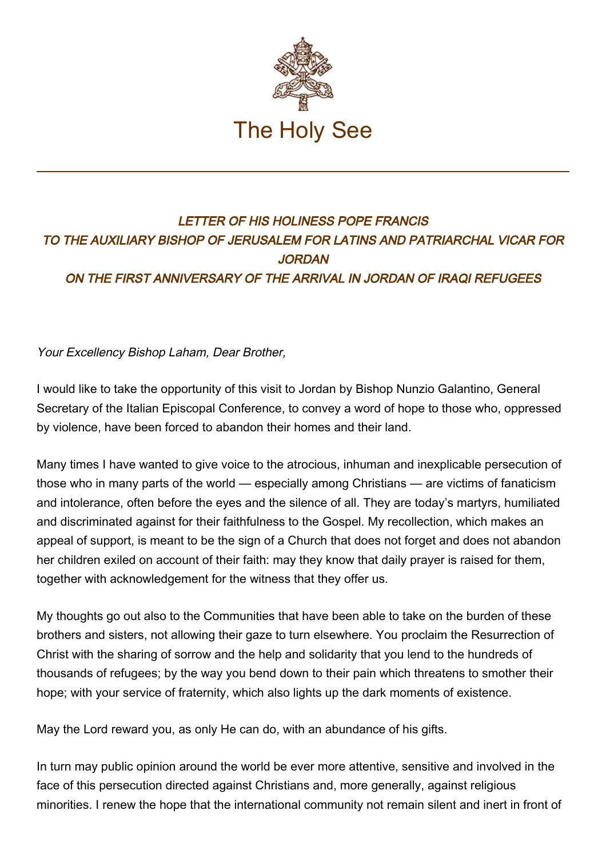

## LETTER OF HIS HOLINESS POPE FRANCIS TO THE AUXILIARY BISHOP OF JERUSALEM FOR LATINS AND PATRIARCHAL VICAR FOR **JORDAN** ON THE FIRST ANNIVERSARY OF THE ARRIVAL IN JORDAN OF IRAQI REFUGEES

## Your Excellency Bishop Laham, Dear Brother,

I would like to take the opportunity of this visit to Jordan by Bishop Nunzio Galantino, General Secretary of the Italian Episcopal Conference, to convey a word of hope to those who, oppressed by violence, have been forced to abandon their homes and their land.

Many times I have wanted to give voice to the atrocious, inhuman and inexplicable persecution of those who in many parts of the world — especially among Christians — are victims of fanaticism and intolerance, often before the eyes and the silence of all. They are today's martyrs, humiliated and discriminated against for their faithfulness to the Gospel. My recollection, which makes an appeal of support, is meant to be the sign of a Church that does not forget and does not abandon her children exiled on account of their faith: may they know that daily prayer is raised for them, together with acknowledgement for the witness that they offer us.

My thoughts go out also to the Communities that have been able to take on the burden of these brothers and sisters, not allowing their gaze to turn elsewhere. You proclaim the Resurrection of Christ with the sharing of sorrow and the help and solidarity that you lend to the hundreds of thousands of refugees; by the way you bend down to their pain which threatens to smother their hope; with your service of fraternity, which also lights up the dark moments of existence.

May the Lord reward you, as only He can do, with an abundance of his gifts.

In turn may public opinion around the world be ever more attentive, sensitive and involved in the face of this persecution directed against Christians and, more generally, against religious minorities. I renew the hope that the international community not remain silent and inert in front of